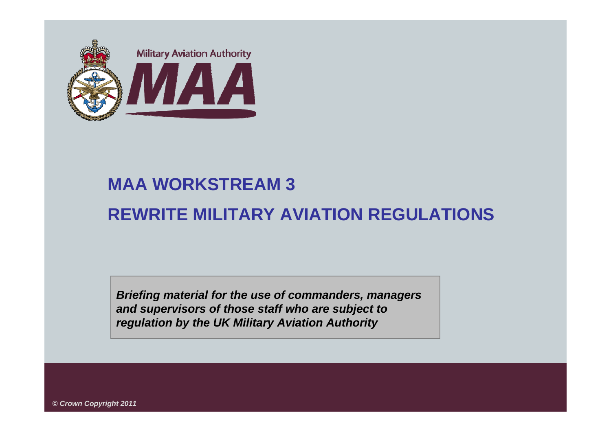

## **MAA WORKSTREAM 3 REWRITE MILITARY AVIATION REGULATIONS**

*Briefing material for the use of commanders, managers and supervisors of those staff who are subject to regulation by the UK Military Aviation Authority*

*© Crown Copyright 2011*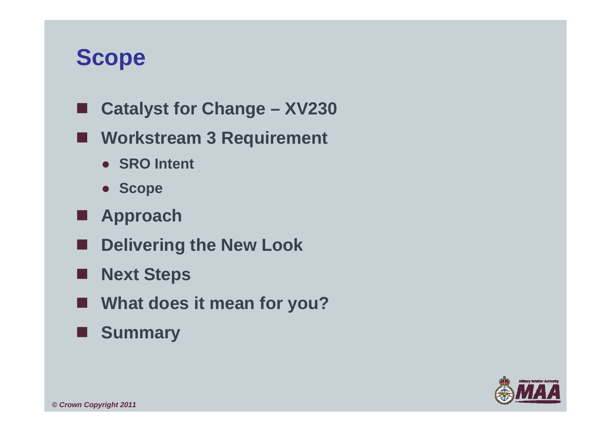## **Scope**

- L **Catalyst for Change – XV230**
- **Workstream 3 Requirement**
	- **SRO Intent**
	- **Scope**
- **Approach**
- **Delivering the New Look**
- ш **Next Steps**
- **What does it mean for you?**
- ш **Summary**

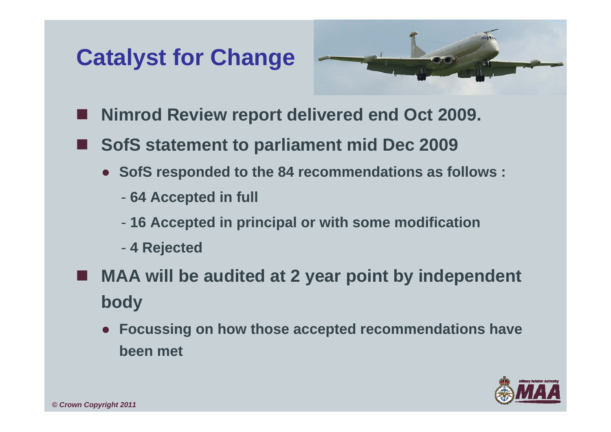## **Catalyst for Change**



- **Nimrod Review report delivered end Oct 2009.**
- **SofS statement to parliament mid Dec 2009**
	- **SofS responded to the 84 recommendations as follows :**
		- -**64 Accepted in full**
		- -**16 Accepted in principal or with some modification**
		- -**4 Rejected**
- **MAA will be audited at 2 year point by independent body**
	- **Focussing on how those accepted recommendations have been met**

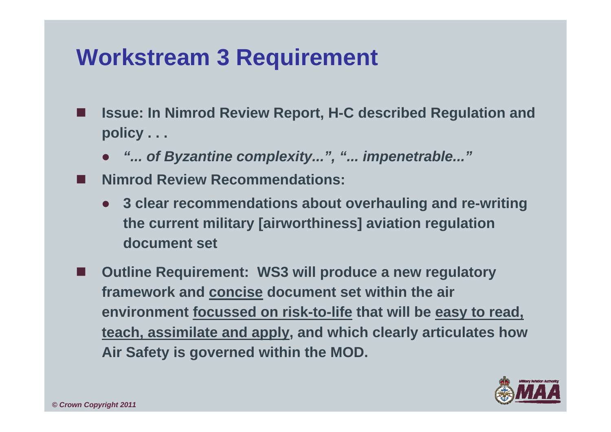## **Workstream 3 Requirement**

- p. **Issue: In Nimrod Review Report, H-C described Regulation and policy . . .**
	- *"... of Byzantine complexity...", "... impenetrable..."*
- F **Nimrod Review Recommendations:**
	- **3 clear recommendations about overhauling and re-writing the current military [airworthiness] aviation regulation document set**
- F **Outline Requirement: WS3 will produce a new regulatory framework and concise document set within the air environment focussed on risk-to-life that will be easy to read, teach, assimilate and apply, and which clearly articulates how Air Safety is governed within the MOD.**

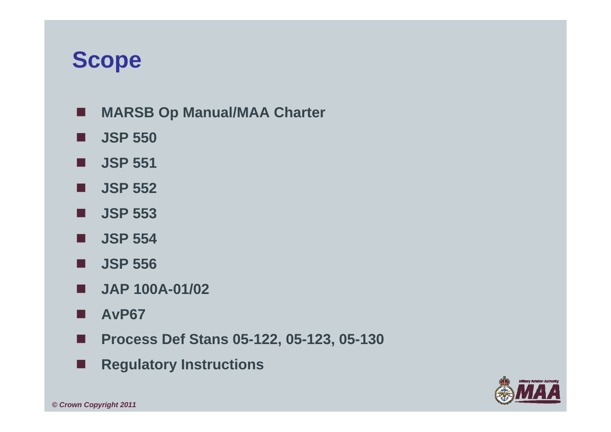## **Scope**

- $\blacksquare$ **MARSB Op Manual/MAA Charter**
- п **JSP 550**
- П **JSP 551**
- $\blacksquare$ **JSP 552**
- **JSP 553**
- **JSP 554**
- **JSP 556**
- **JAP 100A-01/02**
- H **AvP67**
- п **Process Def Stans 05-122, 05-123, 05-130**
- П **Regulatory Instructions**

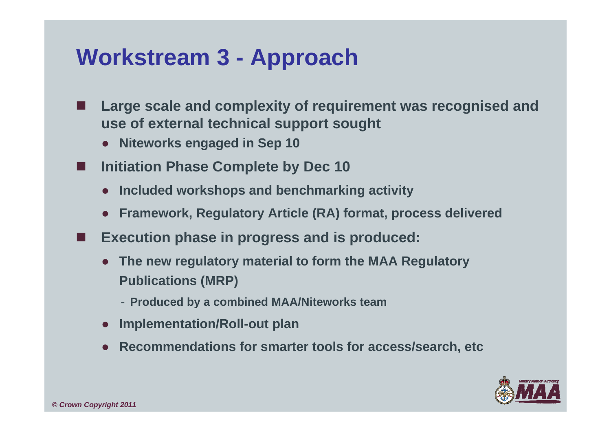## **Workstream 3 - Approach**

- **Large scale and complexity of requirement was recognised and use of external technical support sought**
	- **Niteworks engaged in Sep 10**
	- **Initiation Phase Complete by Dec 10**
		- **Included workshops and benchmarking activity**
		- **Framework, Regulatory Article (RA) format, process delivered**
- F **Execution phase in progress and is produced:**
	- **The new regulatory material to form the MAA Regulatory Publications (MRP)**
		- **Produced by a combined MAA/Niteworks team**
	- $\bullet$ **Implementation/Roll-out plan**
	- ●**Recommendations for smarter tools for access/search, etc**



П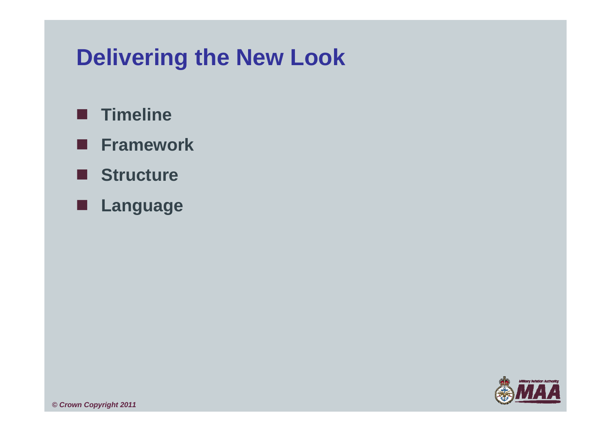## **Delivering the New Look**

- **Timeline**
- **Framework**
- **Structure**
- **Language**

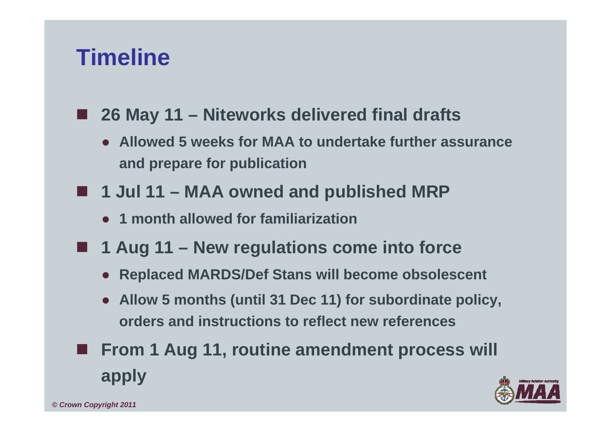## **Timeline**

- . . **26 May 11 – Niteworks delivered final drafts**
	- **Allowed 5 weeks for MAA to undertake further assurance and prepare for publication**
- 1 Jul 11 MAA owned and published MRP
	- **1 month allowed for familiarization**
- 1 Aug 11 New regulations come into force
	- **Replaced MARDS/Def Stans will become obsolescent**
	- **Allow 5 months (until 31 Dec 11) for subordinate policy, orders and instructions to reflect new references**
- **From 1 Aug 11, routine amendment process will apply**

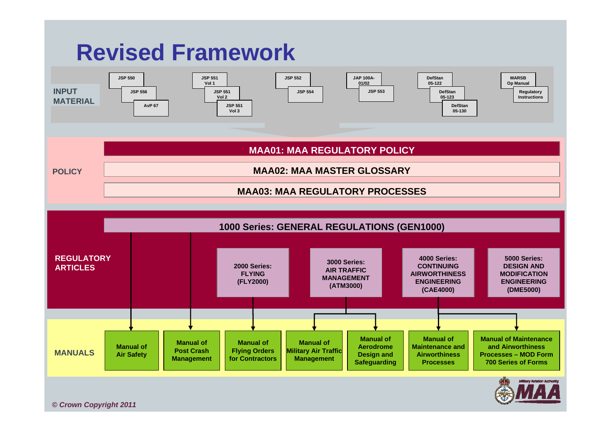

*© Crown Copyright 2011*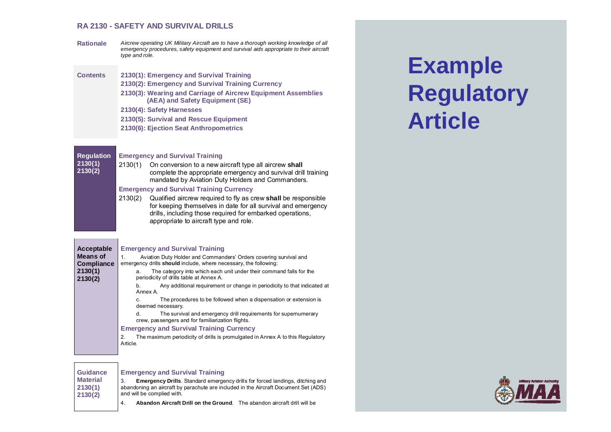#### **RA 2130 - SAFETY AND SURVIVAL DRILLS**

- **Rationale** *Aircrew operating UK Military Aircraft are to have a thorough working knowledge of all emergency procedures, safety equipment and survival aids appropriate to their aircraft type and role.*
- **Contents 2130(1): Emergency and Survival Training 2130(2): Emergency and Survival Training Currency 2130(3): Wearing and Carriage of Aircrew Equipment Assemblies (AEA) and Safety Equipment (SE) 2130(4): Safety Harnesses 2130(5): Survival and Rescue Equipment** 
	- **2130(6): Ejection Seat Anthropometrics**

#### **Regulation 2130(1) 2130(2) Emergency and Survival Training**  2130(1) On conversion to a new aircraft type all aircrew **shall** complete the appropriate emergency and survival drill training mandated by Aviation Duty Holders and Commanders. **Emergency and Survival Training Currency**

2130(2) Qualified aircrew required to fly as crew **shall** be responsible for keeping themselves in date for all survival and emergency drills, including those required for embarked operations, appropriate to aircraft type and role.

| Acceptable         | <b>Emergency and Survival Training</b>                                                                                     |
|--------------------|----------------------------------------------------------------------------------------------------------------------------|
| <b>Means of</b>    | Aviation Duty Holder and Commanders' Orders covering survival and<br>1.                                                    |
| <b>Compliance</b>  | emergency drills should include, where necessary, the following:                                                           |
| 2130(1)<br>2130(2) | The category into which each unit under their command falls for the<br>a.<br>periodicity of drills table at Annex A.       |
|                    | Any additional requirement or change in periodicity to that indicated at<br>b.<br>Annex A.                                 |
|                    | The procedures to be followed when a dispensation or extension is<br>C.<br>deemed necessary.                               |
|                    | The survival and emergency drill requirements for supernumerary<br>d.<br>crew, passengers and for familiarization flights. |
|                    | <b>Emergency and Survival Training Currency</b>                                                                            |
|                    | The maximum periodicity of drills is promulgated in Annex A to this Regulatory<br>2.<br>Article.                           |
|                    |                                                                                                                            |

#### *© Crown Copyright 2011* **Guidance Material 2130(1) 2130(2)**

the control of the control of the control of

#### **Emergency and Survival Training**

3. **Emergency Drills**. Standard emergency drills for forced landings, ditching and abandoning an aircraft by parachute are included in the Aircraft Document Set (ADS) and will be complied with.

4. **Abandon Aircraft Drill on the Ground**. The abandon aircraft drill will be

# **Example Regulatory Article**

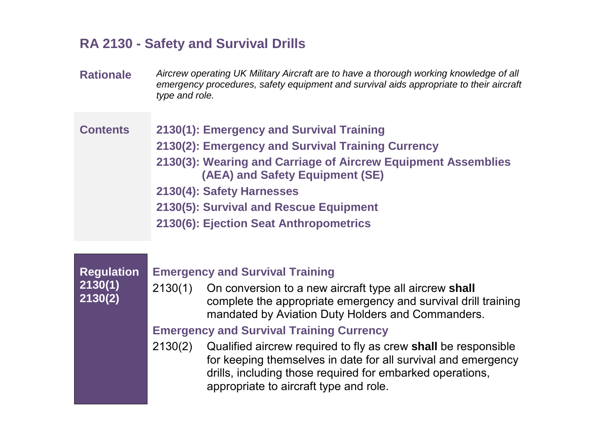## **RA 2130 - Safety and Survival Drills**

**Rationale** *Aircrew operating UK Military Aircraft are to have a thorough working knowledge of all emergency procedures, safety equipment and survival aids appropriate to their aircraft type and role.* 

#### **Contents 2130(1): Emergency and Survival Training**

- **2130(2): Emergency and Survival Training Currency**
- **2130(3): Wearing and Carriage of Aircrew Equipment Assemblies (AEA) and Safety Equipment (SE)**
- **2130(4): Safety Harnesses**
- **2130(5): Survival and Rescue Equipment**
- **2130(6): Ejection Seat Anthropometrics**

**Regulation 2130(1) 2130(2)** 

*© Crown Copyright 2011*

#### **Emergency and Survival Training**

2130(1) On conversion to a new aircraft type all aircrew **shall** complete the appropriate emergency and survival drill training mandated by Aviation Duty Holders and Commanders.

#### **Emergency and Survival Training Currency**

2130(2) Qualified aircrew required to fly as crew **shall** be responsible for keeping themselves in date for all survival and emergency drills, including those required for embarked operations, appropriate to aircraft type and role.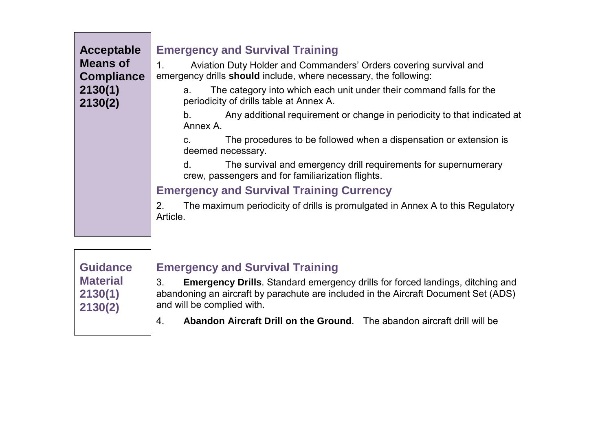| Acceptable<br><b>Means of</b><br><b>Compliance</b> | <b>Emergency and Survival Training</b><br>Aviation Duty Holder and Commanders' Orders covering survival and<br>1.<br>emergency drills should include, where necessary, the following: |
|----------------------------------------------------|---------------------------------------------------------------------------------------------------------------------------------------------------------------------------------------|
| 2130(1)<br>2130(2)                                 | The category into which each unit under their command falls for the<br>a.<br>periodicity of drills table at Annex A.                                                                  |
|                                                    | Any additional requirement or change in periodicity to that indicated at<br>b.<br>Annex A.                                                                                            |
|                                                    | The procedures to be followed when a dispensation or extension is<br>C.<br>deemed necessary.                                                                                          |
|                                                    | The survival and emergency drill requirements for supernumerary<br>d.<br>crew, passengers and for familiarization flights.                                                            |
|                                                    | <b>Emergency and Survival Training Currency</b>                                                                                                                                       |
|                                                    | The maximum periodicity of drills is promulgated in Annex A to this Regulatory<br>2.<br>Article.                                                                                      |
|                                                    |                                                                                                                                                                                       |



**Contract Contract** 

#### **Emergency and Survival Training**

3. **Emergency Drills**. Standard emergency drills for forced landings, ditching and abandoning an aircraft by parachute are included in the Aircraft Document Set (ADS) and will be complied with.

4. **Abandon Aircraft Drill on the Ground**. The abandon aircraft drill will be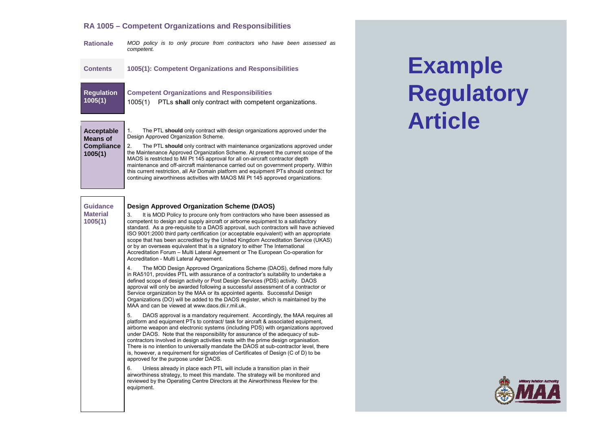#### **RA 1005 – Competent Organizations and Responsibilities**

**Rationale** *MOD policy is to only procure from contractors who have been assessed as competent.* 

| <b>Contents</b>              | 1005(1): Competent Organizations and Responsibilities                                                                    |
|------------------------------|--------------------------------------------------------------------------------------------------------------------------|
| <b>Regulation</b><br>1005(1) | <b>Competent Organizations and Responsibilities</b><br>PTLs shall only contract with competent organizations.<br>1005(1) |
| Acceptable<br>Means of       | The PTL should only contract with design organizations approved under the<br>Design Approved Organization Scheme.        |

**Means of** 

**1005(1)** 

**Compliance** 2. The PTL **should** only contract with maintenance organizations approved under the Maintenance Approved Organization Scheme. At present the current scope of the MAOS is restricted to Mil Pt 145 approval for all on-aircraft contractor depth maintenance and off-aircraft maintenance carried out on government property. Within this current restriction, all Air Domain platform and equipment PTs should contract for continuing airworthiness activities with MAOS Mil Pt 145 approved organizations.

| <b>Guidance</b><br><b>Material</b><br>1005(1) | <b>Design Approved Organization Scheme (DAOS)</b><br>It is MOD Policy to procure only from contractors who have been assessed as<br>3.<br>competent to design and supply aircraft or airborne equipment to a satisfactory<br>standard. As a pre-requisite to a DAOS approval, such contractors will have achieved<br>ISO 9001:2000 third party certification (or acceptable equivalent) with an appropriate<br>scope that has been accredited by the United Kingdom Accreditation Service (UKAS)<br>or by an overseas equivalent that is a signatory to either The International<br>Accreditation Forum - Multi Lateral Agreement or The European Co-operation for<br>Accreditation - Multi Lateral Agreement. |
|-----------------------------------------------|----------------------------------------------------------------------------------------------------------------------------------------------------------------------------------------------------------------------------------------------------------------------------------------------------------------------------------------------------------------------------------------------------------------------------------------------------------------------------------------------------------------------------------------------------------------------------------------------------------------------------------------------------------------------------------------------------------------|
|                                               | The MOD Design Approved Organizations Scheme (DAOS), defined more fully<br>4.<br>in RA5101, provides PTL with assurance of a contractor's suitability to undertake a<br>defined scope of design activity or Post Design Services (PDS) activity. DAOS<br>approval will only be awarded following a successful assessment of a contractor or<br>Service organization by the MAA or its appointed agents. Successful Design<br>Organizations (DO) will be added to the DAOS register, which is maintained by the<br>MAA and can be viewed at www.daos.dij.r.mil.uk.                                                                                                                                              |
|                                               | 5.<br>DAOS approval is a mandatory requirement. Accordingly, the MAA requires all<br>platform and equipment PTs to contract/ task for aircraft & associated equipment,<br>airborne weapon and electronic systems (including PDS) with organizations approved<br>under DAOS. Note that the responsibility for assurance of the adequacy of sub-<br>contractors involved in design activities rests with the prime design organisation.<br>There is no intention to universally mandate the DAOS at sub-contractor level, there<br>is, however, a requirement for signatories of Certificates of Design (C of D) to be<br>approved for the purpose under DAOS.                                                   |
|                                               | 6.<br>Unless already in place each PTL will include a transition plan in their<br>airworthiness strategy, to meet this mandate. The strategy will be monitored and<br>reviewed by the Operating Centre Directors at the Airworthiness Review for the<br>equipment.                                                                                                                                                                                                                                                                                                                                                                                                                                             |

# **Example Regulatory Article**

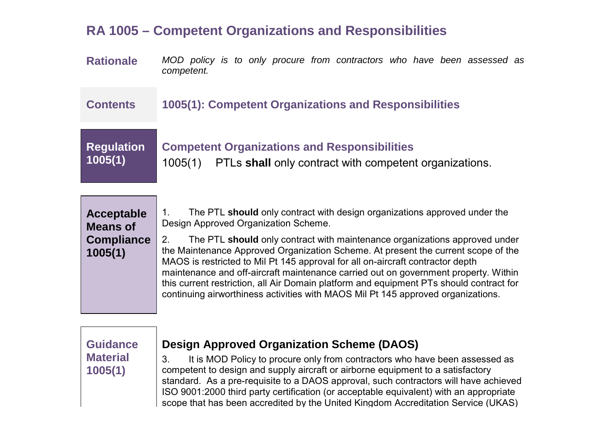## **RA 1005 – Competent Organizations and Responsibilities**

**Rationale** *MOD policy is to only procure from contractors who have been assessed as competent.* 

**Contents 1005(1): Competent Organizations and Responsibilities** 

## **Competent Organizations and Responsibilities**

1005(1) PTLs **shall** only contract with competent organizations.

## **Acceptable Means of Compliance 1005(1)**

**Regulation** 

**1005(1)** 

1. The PTL **should** only contract with design organizations approved under the Design Approved Organization Scheme.

2. The PTL **should** only contract with maintenance organizations approved under the Maintenance Approved Organization Scheme. At present the current scope of the MAOS is restricted to Mil Pt 145 approval for all on-aircraft contractor depth maintenance and off-aircraft maintenance carried out on government property. Within this current restriction, all Air Domain platform and equipment PTs should contract for continuing airworthiness activities with MAOS Mil Pt 145 approved organizations.

### **Guidance Material 1005(1)**

*© Crown Copyright 2011*

#### **Design Approved Organization Scheme (DAOS)**

3. It is MOD Policy to procure only from contractors who have been assessed as competent to design and supply aircraft or airborne equipment to a satisfactory standard. As a pre-requisite to a DAOS approval, such contractors will have achieved ISO 9001:2000 third party certification (or acceptable equivalent) with an appropriate scope that has been accredited by the United Kingdom Accreditation Service (UKAS)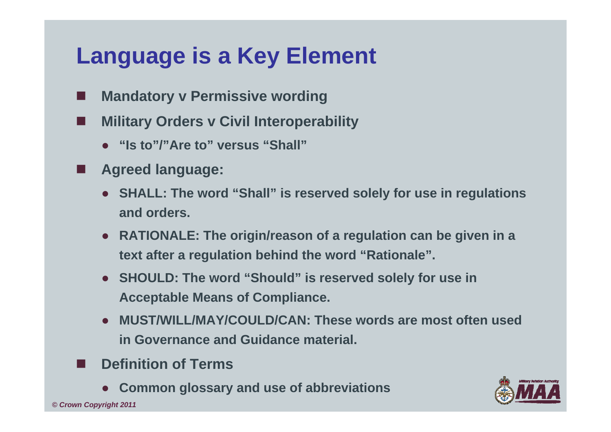# **Language is a Key Element**

- П **Mandatory v Permissive wording**
- p. **Military Orders v Civil Interoperability**
	- **"Is to"/"Are to" versus "Shall"**
- F **Agreed language:**
	- **SHALL: The word "Shall" is reserved solely for use in regulations and orders.**
	- **RATIONALE: The origin/reason of a regulation can be given in a text after a regulation behind the word "Rationale".**
	- **SHOULD: The word "Should" is reserved solely for use in Acceptable Means of Compliance.**
	- **MUST/WILL/MAY/COULD/CAN: These words are most often used in Governance and Guidance material.**
- П **Definition of Terms**
	- ●**Common glossary and use of abbreviations**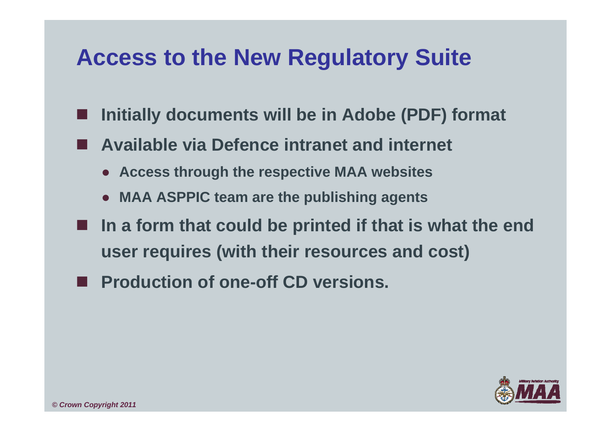## **Access to the New Regulatory Suite**

- **Initially documents will be in Adobe (PDF) format**
- **Available via Defence intranet and internet**
	- **Access through the respective MAA websites**
	- **MAA ASPPIC team are the publishing agents**
- **In a form that could be printed if that is what the end user requires (with their resources and cost)**
- **Production of one-off CD versions.**

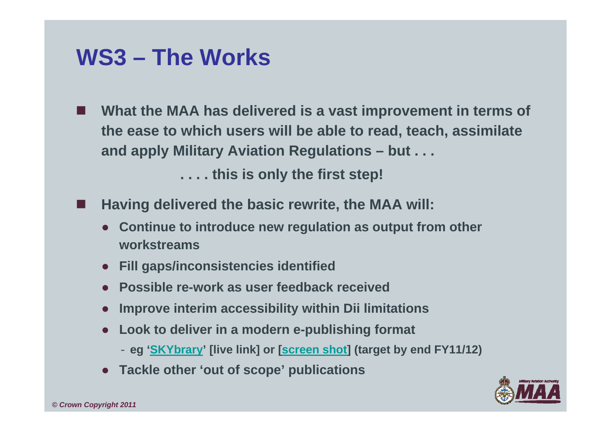## **WS3 – The Works**

П **What the MAA has delivered is a vast improvement in terms of the ease to which users will be able to read, teach, assimilate and apply Military Aviation Regulations – but . . .**

**. . . . this is only the first step!**

- p. **Having delivered the basic rewrite, the MAA will:**
	- **Continue to introduce new regulation as output from other workstreams**
	- **Fill gaps/inconsistencies identified**
	- **Possible re-work as user feedback received**
	- ●**Improve interim accessibility within Dii limitations**
	- **Look to deliver in a modern e-publishing format**
		- **eg 'SKYbrary' [live link] or [screen shot] (target by end FY11/12)**
	- **Tackle other 'out of scope' publications**

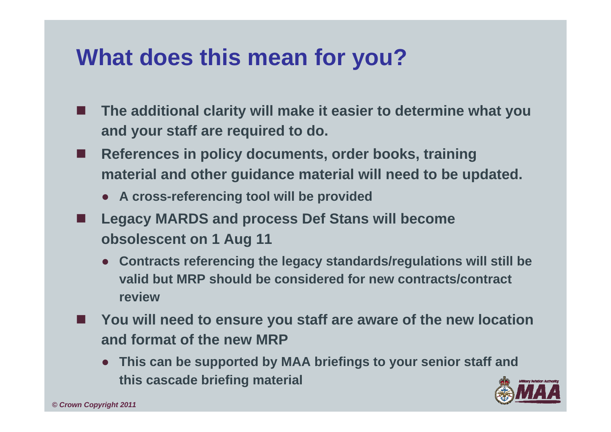# **What does this mean for you?**

- П **The additional clarity will make it easier to determine what you and your staff are required to do.**
- $\blacksquare$  **References in policy documents, order books, training material and other guidance material will need to be updated.**
	- **A cross-referencing tool will be provided**
- F **Legacy MARDS and process Def Stans will become obsolescent on 1 Aug 11**
	- **Contracts referencing the legacy standards/regulations will still be valid but MRP should be considered for new contracts/contract review**
- You will need to ensure you staff are aware of the new location **and format of the new MRP**
	- **This can be supported by MAA briefings to your senior staff and this cascade briefing material**

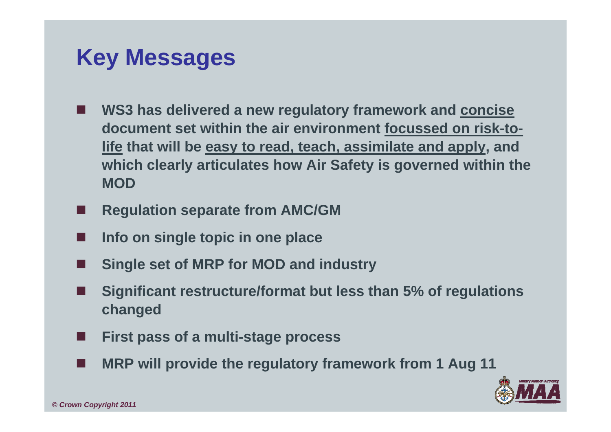## **Key Messages**

- **WS3 has delivered a new regulatory framework and concise document set within the air environment focussed on risk-tolife that will be easy to read, teach, assimilate and apply, and which clearly articulates how Air Safety is governed within the MOD**
- F **Regulation separate from AMC/GM**
- П **Info on single topic in one place**
- Г **Single set of MRP for MOD and industry**
- F **Significant restructure/format but less than 5% of regulations changed**
- Г **First pass of a multi-stage process**
- F **MRP will provide the regulatory framework from 1 Aug 11**

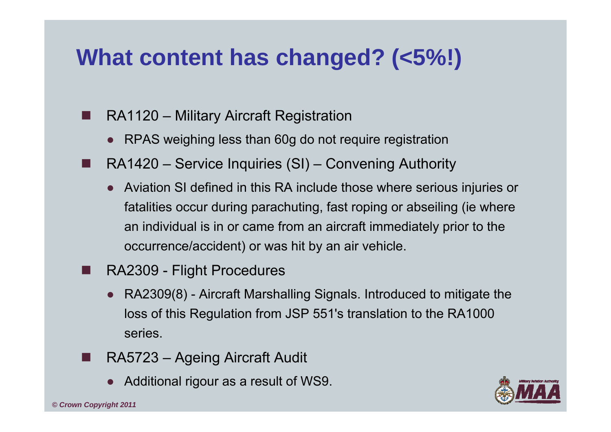# **What content has changed? (<5%!)**

- RA1120 – Military Aircraft Registration
	- RPAS weighing less than 60g do not require registration
- . . RA1420 – Service Inquiries (SI) – Convening Authority
	- Aviation SI defined in this RA include those where serious injuries or fatalities occur during parachuting, fast roping or abseiling (ie where an individual is in or came from an aircraft immediately prior to the occurrence/accident) or was hit by an air vehicle.
- e<br>19 RA2309 - Flight Procedures
	- RA2309(8) Aircraft Marshalling Signals. Introduced to mitigate the loss of this Regulation from JSP 551's translation to the RA1000 series.
- Τ RA5723 – Ageing Aircraft Audit
	- Additional rigour as a result of WS9.

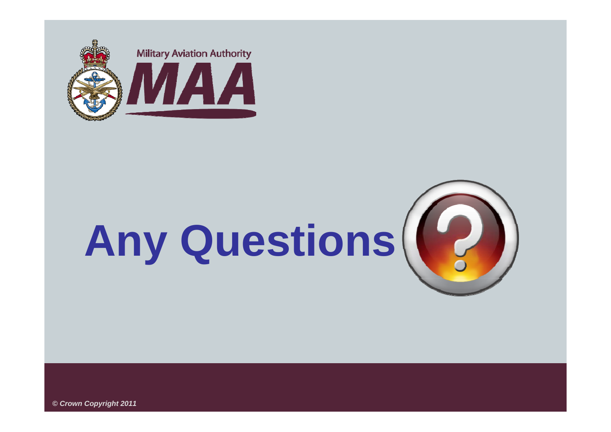

# **Any Questions**



*© Crown Copyright 2011*